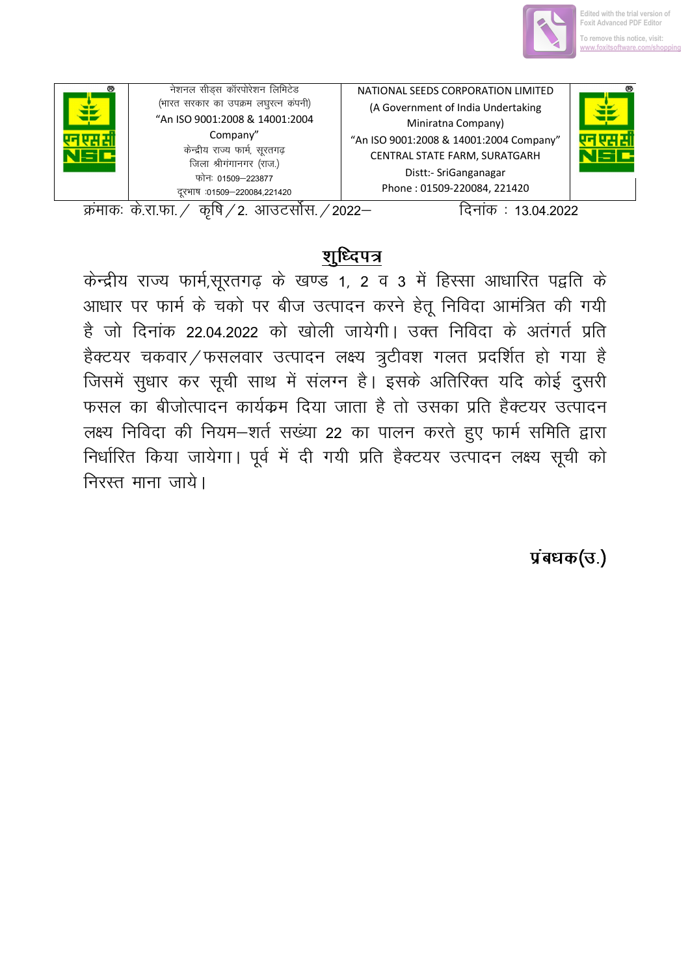

| æ | नेशनल सीड्स कॉरपोरेशन लिमिटेड<br>(भारत सरकार का उपक्रम लघुरत्न कंपनी)<br>"An ISO 9001:2008 & 14001:2004<br>Company"<br>केन्द्रीय राज्य फार्म, सूरतगढ़<br>जिला श्रीगंगानगर (राज.)<br>फोनः 01509–223877<br>दरभाष :01509-220084,221420 | NATIONAL SEEDS CORPORATION LIMITED<br>(A Government of India Undertaking<br>Miniratna Company)<br>"An ISO 9001:2008 & 14001:2004 Company"<br>CENTRAL STATE FARM, SURATGARH<br>Distt:- SriGanganagar<br>Phone: 01509-220084, 221420 | ® |
|---|-------------------------------------------------------------------------------------------------------------------------------------------------------------------------------------------------------------------------------------|------------------------------------------------------------------------------------------------------------------------------------------------------------------------------------------------------------------------------------|---|
|---|-------------------------------------------------------------------------------------------------------------------------------------------------------------------------------------------------------------------------------------|------------------------------------------------------------------------------------------------------------------------------------------------------------------------------------------------------------------------------------|---|

क्रमाकः के.रा.फा. / कृषि / 2. आउटर्सोस. / 2022–

दिनांक: 13.04.2022

## <u>शुध्दिपत्र</u>

केन्द्रीय राज्य फार्म,सूरतगढ़ के खण्ड 1, 2 व 3 में हिस्सा आधारित पद्वति के आधार पर फार्म के चको पर बीज उत्पादन करने हेतू निविदा आमंत्रित की गयी है जो दिनांक 22.04.2022 को खोली जायेगी। उक्त निविदा के अतंगर्त प्रति हैक्टयर चकवार/फसलवार उत्पादन लक्ष्य त्रुटीवश गलत प्रदर्शित हो गया है जिसमें सुधार कर सूची साथ में संलग्न है। इसके अतिरिक्त यदि कोई दुसरी फसल का बीजोत्पादन कार्यक्रम दिया जाता है तो उसका प्रति हैक्टयर उत्पादन लक्ष्य निविदा की नियम-शर्त सख्या 22 का पालन करते हुए फार्म समिति द्वारा निर्धारित किया जायेगा। पूर्व में दी गयी प्रति हैक्टयर उत्पादन लक्ष्य सूची को निरस्त माना जाये।

## प्रबंधक(उ.)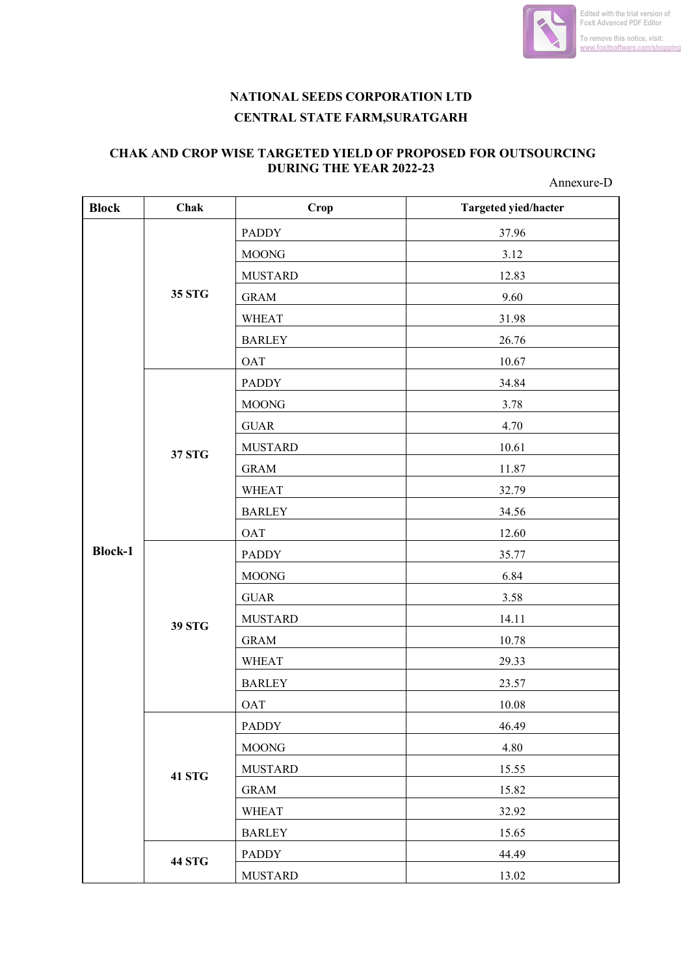

## **NATIONAL SEEDS CORPORATION LTD CENTRAL STATE FARM,SURATGARH**

## **CHAK AND CROP WISE TARGETED YIELD OF PROPOSED FOR OUTSOURCING DURING THE YEAR 2022-23**

Annexure-D

| <b>Block</b>   | Chak          | Crop           | Targeted yied/hacter |
|----------------|---------------|----------------|----------------------|
|                | 35 STG        | <b>PADDY</b>   | 37.96                |
|                |               | <b>MOONG</b>   | 3.12                 |
|                |               | <b>MUSTARD</b> | 12.83                |
|                |               | <b>GRAM</b>    | 9.60                 |
|                |               | <b>WHEAT</b>   | 31.98                |
|                |               | <b>BARLEY</b>  | 26.76                |
|                |               | <b>OAT</b>     | 10.67                |
|                |               | <b>PADDY</b>   | 34.84                |
|                |               | <b>MOONG</b>   | 3.78                 |
|                |               | <b>GUAR</b>    | 4.70                 |
|                | 37 STG        | <b>MUSTARD</b> | 10.61                |
|                |               | <b>GRAM</b>    | 11.87                |
|                |               | <b>WHEAT</b>   | 32.79                |
|                |               | <b>BARLEY</b>  | 34.56                |
|                |               | <b>OAT</b>     | 12.60                |
| <b>Block-1</b> |               | <b>PADDY</b>   | 35.77                |
|                |               | <b>MOONG</b>   | 6.84                 |
|                |               | <b>GUAR</b>    | 3.58                 |
|                | <b>39 STG</b> | <b>MUSTARD</b> | 14.11                |
|                |               | <b>GRAM</b>    | 10.78                |
|                |               | <b>WHEAT</b>   | 29.33                |
|                |               | <b>BARLEY</b>  | 23.57                |
|                |               | <b>OAT</b>     | 10.08                |
|                | <b>41 STG</b> | <b>PADDY</b>   | 46.49                |
|                |               | <b>MOONG</b>   | 4.80                 |
|                |               | <b>MUSTARD</b> | 15.55                |
|                |               | <b>GRAM</b>    | 15.82                |
|                |               | <b>WHEAT</b>   | 32.92                |
|                |               | <b>BARLEY</b>  | 15.65                |
|                | <b>44 STG</b> | <b>PADDY</b>   | 44.49                |
|                |               | <b>MUSTARD</b> | 13.02                |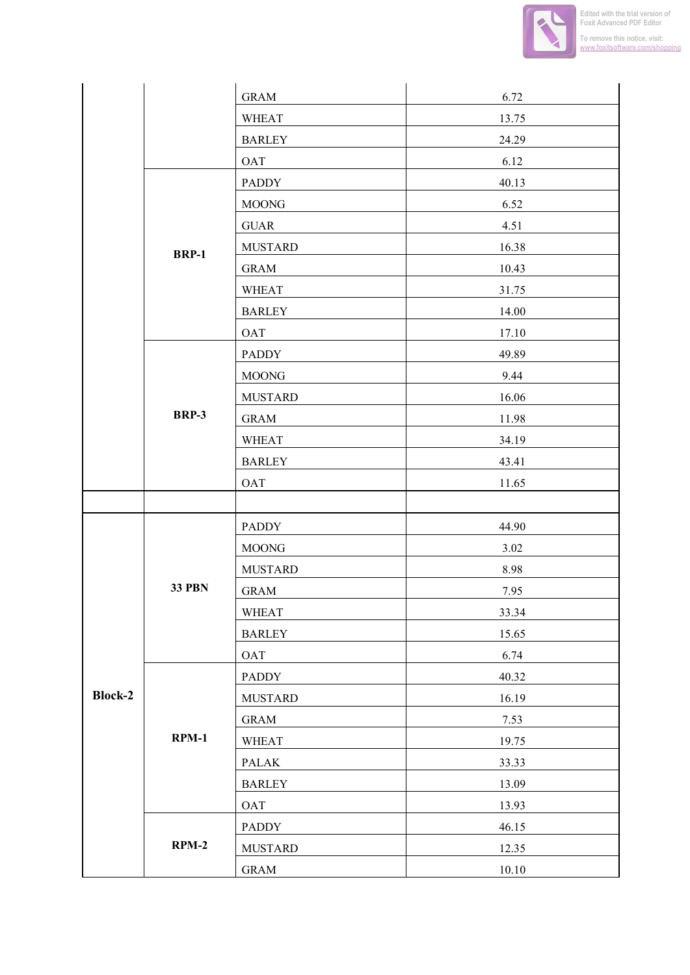

|                |               | <b>GRAM</b>    | 6.72      |
|----------------|---------------|----------------|-----------|
|                |               | <b>WHEAT</b>   | 13.75     |
|                |               | <b>BARLEY</b>  | 24.29     |
|                |               | <b>OAT</b>     | 6.12      |
|                |               | <b>PADDY</b>   | 40.13     |
|                | <b>BRP-1</b>  | <b>MOONG</b>   | 6.52      |
|                |               | <b>GUAR</b>    | 4.51      |
|                |               | <b>MUSTARD</b> | 16.38     |
|                |               | <b>GRAM</b>    | 10.43     |
|                |               | <b>WHEAT</b>   | 31.75     |
|                |               | <b>BARLEY</b>  | 14.00     |
|                |               | <b>OAT</b>     | 17.10     |
|                |               | <b>PADDY</b>   | 49.89     |
|                |               | <b>MOONG</b>   | 9.44      |
|                |               | <b>MUSTARD</b> | 16.06     |
|                | <b>BRP-3</b>  | <b>GRAM</b>    | 11.98     |
|                |               | <b>WHEAT</b>   | 34.19     |
|                |               | <b>BARLEY</b>  | 43.41     |
|                |               | <b>OAT</b>     | 11.65     |
|                |               |                |           |
|                |               | <b>PADDY</b>   | 44.90     |
|                |               | <b>MOONG</b>   | 3.02      |
|                |               | <b>MUSTARD</b> | 8.98      |
|                | <b>33 PBN</b> | <b>GRAM</b>    | 7.95      |
|                |               | <b>WHEAT</b>   | 33.34     |
|                |               | <b>BARLEY</b>  | 15.65     |
| <b>Block-2</b> |               | OAT            | 6.74      |
|                |               | <b>PADDY</b>   | 40.32     |
|                |               | <b>MUSTARD</b> | 16.19     |
|                |               | <b>GRAM</b>    | 7.53      |
|                | $RPM-1$       | <b>WHEAT</b>   | 19.75     |
|                |               | PALAK          | 33.33     |
|                |               | <b>BARLEY</b>  | 13.09     |
|                |               | OAT            | 13.93     |
|                |               |                |           |
|                | $RPM-2$       | PADDY          | 46.15     |
|                |               | <b>MUSTARD</b> | 12.35     |
|                |               | <b>GRAM</b>    | $10.10\,$ |